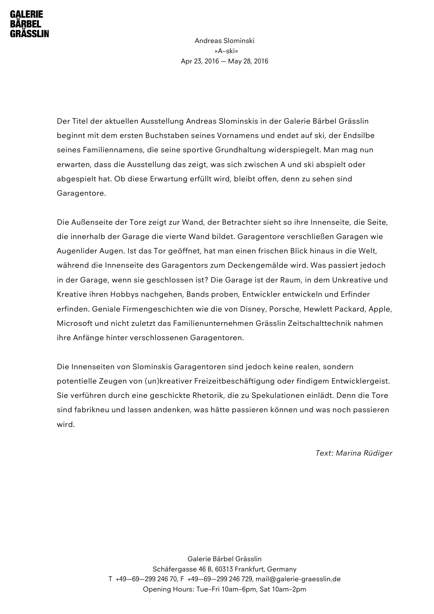Andreas Slominski »A–ski« Apr 23, 2016 — May 28, 2016

Der Titel der aktuellen Ausstellung Andreas Slominskis in der Galerie Bärbel Grässlin beginnt mit dem ersten Buchstaben seines Vornamens und endet auf ski, der Endsilbe seines Familiennamens, die seine sportive Grundhaltung widerspiegelt. Man mag nun erwarten, dass die Ausstellung das zeigt, was sich zwischen A und ski abspielt oder abgespielt hat. Ob diese Erwartung erfüllt wird, bleibt offen, denn zu sehen sind Garagentore.

Die Außenseite der Tore zeigt zur Wand, der Betrachter sieht so ihre Innenseite, die Seite, die innerhalb der Garage die vierte Wand bildet. Garagentore verschließen Garagen wie Augenlider Augen. Ist das Tor geöffnet, hat man einen frischen Blick hinaus in die Welt, während die Innenseite des Garagentors zum Deckengemälde wird. Was passiert jedoch in der Garage, wenn sie geschlossen ist? Die Garage ist der Raum, in dem Unkreative und Kreative ihren Hobbys nachgehen, Bands proben, Entwickler entwickeln und Erfinder erfinden. Geniale Firmengeschichten wie die von Disney, Porsche, Hewlett Packard, Apple, Microsoft und nicht zuletzt das Familienunternehmen Grässlin Zeitschalttechnik nahmen ihre Anfänge hinter verschlossenen Garagentoren.

Die Innenseiten von Slominskis Garagentoren sind jedoch keine realen, sondern potentielle Zeugen von (un)kreativer Freizeitbeschäftigung oder findigem Entwicklergeist. Sie verführen durch eine geschickte Rhetorik, die zu Spekulationen einlädt. Denn die Tore sind fabrikneu und lassen andenken, was hätte passieren können und was noch passieren wird.

*Text: Marina Rüdiger*